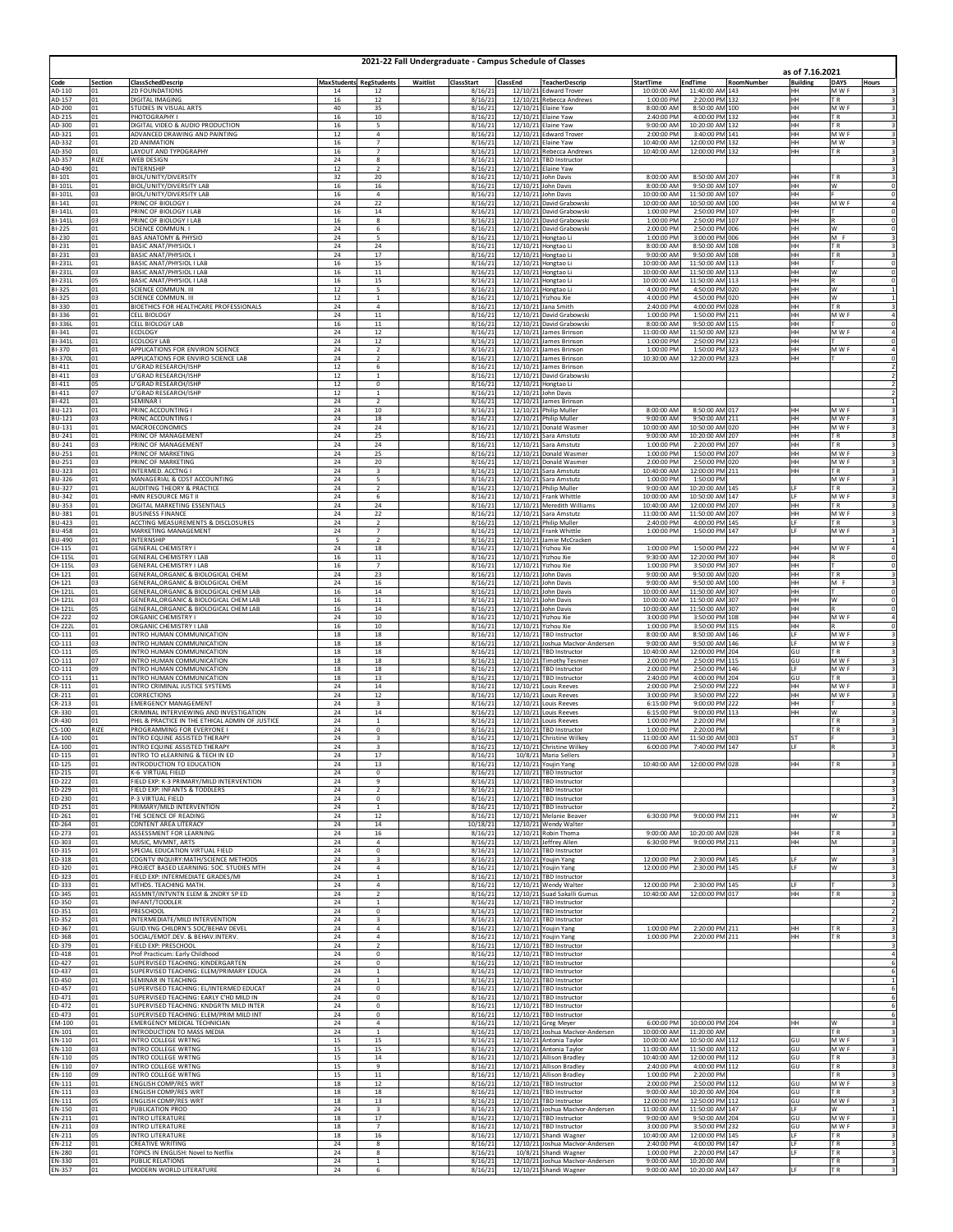|                                | 2021-22 Fall Undergraduate - Campus Schedule of Classes |                                                                                          |                 |                                           |          |                     |          |                                                             |                            |                                    |                   |                                    |                                                         |
|--------------------------------|---------------------------------------------------------|------------------------------------------------------------------------------------------|-----------------|-------------------------------------------|----------|---------------------|----------|-------------------------------------------------------------|----------------------------|------------------------------------|-------------------|------------------------------------|---------------------------------------------------------|
| Code                           | Section                                                 | ClassSchedDescrip                                                                        |                 | <b>MaxStudents RegStudents</b>            | Waitlist | ClassStart          | ClassEnd | <b>TeacherDescrip</b>                                       | <b>StartTime</b>           | <b>EndTime</b>                     | <b>RoomNumber</b> | as of 7.16.2021<br><b>Building</b> | <b>DAYS</b><br>Hours                                    |
| AD-110<br>AD-157               | 01<br>01                                                | 2D FOUNDATIONS<br><b>JIGITAL IMAGING</b>                                                 | 14<br>16        | 12<br>12                                  |          | 8/16/21<br>8/16/21  |          | 12/10/21 Edward Trover<br>12/10/21 Rebecca Andrews          | 10:00:00 AM<br>1:00:00 PM  | 11:40:00 AM 143<br>2:20:00 PM 132  |                   | HН<br>HH                           | M W F<br>3<br>T <sub>R</sub>                            |
| AD-200<br>AD-215               | 01<br>01                                                | TUDIES IN VISUAL ARTS<br>PHOTOGRAPHY I                                                   | 40<br>16        | 35<br>10                                  |          | 8/16/21<br>8/16/21  |          | 12/10/21 Elaine Yaw<br>12/10/21 Elaine Yaw                  | 8:00:00 AM<br>2:40:00 PM   | 8:50:00 AM 100<br>4:00:00 PM 132   |                   | HH<br>HН                           | M W F<br>TR.                                            |
| AD-300<br>AD-321               | 01<br>01                                                | DIGITAL VIDEO & AUDIO PRODUCTION<br>ADVANCED DRAWING AND PAINTING                        | $16\,$<br>12    | 5<br>$\sqrt{4}$                           |          | 8/16/21<br>8/16/21  |          | 12/10/21 Elaine Yaw<br>12/10/21 Edward Trover               | 9:00:00 AM<br>2:00:00 PM   | 10:20:00 AM 132<br>3:40:00 PM 141  |                   | HН<br>HН                           | 3<br>T <sub>R</sub><br>M W F<br>3                       |
| AD-332                         | 01                                                      | 2D ANIMATION                                                                             | 16              | $\overline{7}$                            |          | 8/16/21             |          | 12/10/21 Elaine Yaw                                         | 10:40:00 AM                | 12:00:00 PM 132                    |                   | HН                                 | MW                                                      |
| AD-350<br>AD-357               | 01<br>RIZE                                              | LAYOUT AND TYPOGRAPHY<br><b>NEB DESIGN</b>                                               | 16<br>24        | $\overline{7}$<br>8                       |          | 8/16/21<br>8/16/21  |          | 12/10/21 Rebecca Andrews<br>12/10/21 TBD Instructor         | 10:40:00 AM                | 12:00:00 PM 132                    |                   | HН                                 | TR.                                                     |
| AD-490<br>BI-101               | 01<br>01                                                | NTERNSHIP<br>BIOL/UNITY/DIVERSITY                                                        | 12<br>32        | $\overline{\mathbf{2}}$<br>20             |          | 8/16/21<br>8/16/21  |          | 12/10/21 Elaine Yaw<br>12/10/21 John Davis                  | 8:00:00 AM                 | 8:50:00 AM 207                     |                   | HН                                 | 3<br>ΤR                                                 |
| BI-101L<br>BI-101L             | 01<br>03                                                | <b>BIOL/UNITY/DIVERSITY LAB</b><br><b>BIOL/UNITY/DIVERSITY LAB</b>                       | $16\,$<br>16    | 16<br>$\overline{4}$                      |          | 8/16/21<br>8/16/21  |          | 12/10/21 John Davis<br>12/10/21 John Davis                  | 8:00:00 AM<br>10:00:00 AM  | 9:50:00 AM 107<br>11:50:00 AM 107  |                   | HH<br>HH.                          | $\overline{0}$<br>w                                     |
| BI-141<br>BI-141L              | 01<br>01                                                | PRINC OF BIOLOGY I<br>PRINC OF BIOLOGY I LAB                                             | 24<br>16        | 22<br>14                                  |          | 8/16/21             |          | 12/10/21 David Grabowski                                    | 10:00:00 AM<br>1:00:00 PM  | 10:50:00 AM 100<br>2:50:00 PM 107  |                   | HН<br>HH.                          | M W F<br>4                                              |
| BI-141L                        | 03                                                      | RINC OF BIOLOGY I LAB                                                                    | 16              | $\boldsymbol{8}$                          |          | 8/16/21<br>8/16/21  |          | 12/10/21 David Grabowski<br>12/10/21 David Grabowski        | 1:00:00 PM                 | 2:50:00 PM 107                     |                   | HH                                 | 0<br>O                                                  |
| BI-225<br>BI-230               | 01<br>01                                                | SCIENCE COMMUN. I<br><b>BAS ANATOMY &amp; PHYSIO</b>                                     | 24<br>24        | 6<br>5                                    |          | 8/16/21<br>8/16/21  |          | 12/10/21 David Grabowski<br>12/10/21 Hongtao Li             | 2:00:00 PM<br>1:00:00 PM   | 2:50:00 PM 006<br>3:00:00 PM 006   |                   | HН<br>HH                           | W<br>M F                                                |
| BI-231<br>BI-231               | 01<br>03                                                | BASIC ANAT/PHYSIOL I<br>BASIC ANAT/PHYSIOL I                                             | 24<br>24        | 24<br>17                                  |          | 8/16/21<br>8/16/21  |          | 12/10/21 Hongtao Li<br>12/10/21 Hongtao Li                  | 8:00:00 AM<br>9:00:00 AM   | 8:50:00 AM 108<br>9:50:00 AM 108   |                   | HH<br>HH                           | T <sub>R</sub><br>3<br>T <sub>R</sub><br>3              |
| BI-231L<br>BI-231L             | 01<br>03                                                | BASIC ANAT/PHYSIOL I LAB<br>BASIC ANAT/PHYSIOL I LAB                                     | 16<br>16        | 15<br>11                                  |          | 8/16/21<br>8/16/21  |          | 12/10/21 Hongtao Li<br>12/10/21 Hongtao Li                  | 10:00:00 AM<br>10:00:00 AM | 11:50:00 AM 113<br>11:50:00 AM 113 |                   | HН<br>HH.                          | 0<br>$\overline{\mathbf{0}}$<br>W                       |
| BI-231L<br>BI-325              | 05<br>01                                                | ASIC ANAT/PHYSIOL I LAB<br>SCIENCE COMMUN. III                                           | 16<br>12        | 15<br>5                                   |          | 8/16/21<br>8/16/21  |          | 12/10/21 Hongtao Li                                         | 10:00:00 AM<br>4:00:00 PM  | 11:50:00 AM 113<br>4:50:00 PM 020  |                   | HH<br>HН                           | 0<br>W                                                  |
| BI-325                         | 03                                                      | SCIENCE COMMUN. III                                                                      | $12\,$          | $\,$ 1                                    |          | 8/16/21             |          | 12/10/21 Hongtao Li<br>12/10/21 Yizhou Xie                  | 4:00:00 PM                 | 4:50:00 PM 020                     |                   | HН                                 | w                                                       |
| BI-330<br>BI-336               | 01<br>01                                                | BIOETHICS FOR HEALTHCARE PROFESSIONALS<br><b>ELL BIOLOGY</b>                             | 24<br>24        | $\sqrt{4}$<br>$11\,$                      |          | 8/16/21<br>8/16/21  |          | 12/10/21 Jana Smith<br>12/10/21 David Grabowski             | 2:40:00 PM<br>1:00:00 PM   | 4:00:00 PM 028<br>1:50:00 PM 211   |                   | HH<br>HH                           | T <sub>R</sub><br>M W F<br>$\frac{4}{0}$                |
| BI-336L<br>BI-341              | 01<br>01                                                | ELL BIOLOGY LAB<br>COLOGY                                                                | 16<br>24        | 11<br>12                                  |          | 8/16/21<br>8/16/21  |          | 12/10/21 David Grabowski<br>12/10/21 James Brinson          | 8:00:00 AM<br>11:00:00 AM  | 9:50:00 AM 115<br>11:50:00 AM 323  |                   | HН<br>HH                           | M W F<br>4                                              |
| BI-341L<br>BI-370              | 01<br>01                                                | COLOGY LAB<br>APPLICATIONS FOR ENVIRON SCIENCE                                           | 24<br>24        | 12<br>$\overline{\mathbf{2}}$             |          | 8/16/21<br>8/16/21  |          | 12/10/21 James Brinson<br>12/10/21 James Brinson            | 1:00:00 PM<br>1:00:00 PM   | 2:50:00 PM 323<br>1:50:00 PM 323   |                   | HН<br>HH                           | 0<br>M W F                                              |
| BI-370L<br>BI-411              | 01<br>01                                                | APPLICATIONS FOR ENVIRO SCIENCE LAB<br>J'GRAD RESEARCH/ISHP                              | 24<br>12        | $\overline{2}$<br>6                       |          | 8/16/21<br>8/16/21  |          | 12/10/21 James Brinson<br>12/10/21 James Brinson            | 10:30:00 AM                | 12:20:00 PM 323                    |                   | HH                                 | $\pmb{0}$                                               |
| BI-411                         | 03                                                      | J'GRAD RESEARCH/ISHP                                                                     | 12              | 1                                         |          | 8/16/21             |          | 12/10/21 David Grabowski                                    |                            |                                    |                   |                                    | $\overline{2}$                                          |
| BI-411<br>BI-411               | 05<br>07                                                | J'GRAD RESEARCH/ISHP<br><b>'GRAD RESEARCH/ISHP</b>                                       | 12<br>12        | $\pmb{0}$<br>1                            |          | 8/16/21<br>8/16/21  |          | 12/10/21 Hongtao Li<br>12/10/21 John Davis                  |                            |                                    |                   |                                    | $\overline{\mathbf{c}}$<br>$\overline{\mathbf{2}}$      |
| BI-421<br>BU-121               | 01<br>01                                                | <b>SEMINAR I</b><br>PRINC ACCOUNTING I                                                   | 24<br>24        | $\overline{\mathbf{2}}$<br>10             |          | 8/16/21<br>8/16/21  |          | 12/10/21 James Brinson<br>12/10/21 Philip Muller            | 8:00:00 AM                 | 8:50:00 AM 017                     |                   | HH                                 | 3<br>M W F                                              |
| <b>BU-121</b><br><b>BU-131</b> | 03<br>01                                                | PRINC ACCOUNTING I<br>MACROECONOMICS                                                     | 24<br>24        | 18<br>24                                  |          | 8/16/21<br>8/16/21  |          | 12/10/21 Philip Muller<br>12/10/21 Donald Wasmer            | 9:00:00 AM<br>10:00:00 AM  | 9:50:00 AM 211<br>10:50:00 AM 020  |                   | HН<br>HH                           | M W F<br>$\mathsf 3$<br>M W F                           |
| <b>BU-241</b>                  | 01                                                      | PRINC OF MANAGEMENT<br>PRINC OF MANAGEMENT                                               | 24              | 25                                        |          | 8/16/21             |          | 12/10/21 Sara Amstutz                                       | 9:00:00 AM                 | 10:20:00 AM 207<br>2:20:00 PM 207  |                   | HН<br>HH.                          | TR.<br>3<br>TR.                                         |
| <b>BU-241</b><br><b>BU-251</b> | 03<br>01                                                | RINC OF MARKETING                                                                        | 24<br>24        | 24<br>25                                  |          | 8/16/21<br>8/16/21  |          | 12/10/21 Sara Amstutz<br>12/10/21 Donald Wasmer             | 1:00:00 PM<br>1:00:00 PM   | 1:50:00 PM 207                     |                   | HH                                 | 3<br>M W F                                              |
| <b>BU-251</b><br><b>BU-323</b> | 03<br>01                                                | PRINC OF MARKETING<br>INTERMED. ACCTNG I                                                 | 24<br>24        | 20<br>$\overline{\mathbf{3}}$             |          | 8/16/21<br>8/16/21  |          | 12/10/21 Donald Wasmer<br>12/10/21 Sara Amstutz             | 2:00:00 PM<br>10:40:00 AM  | 2:50:00 PM 020<br>12:00:00 PM 211  |                   | HН<br>HН                           | M W F<br>3<br>TR                                        |
| <b>BU-326</b><br><b>BU-327</b> | 01<br>01                                                | MANAGERIAL & COST ACCOUNTING<br>AUDITING THEORY & PRACTICE                               | 24<br>24        | 5<br>$\overline{2}$                       |          | 8/16/21<br>8/16/21  |          | 12/10/21 Sara Amstutz<br>12/10/21 Philip Muller             | 1:00:00 PM<br>9:00:00 AM   | 1:50:00 PM<br>10:20:00 AM 145      |                   | ١F                                 | M W F<br>3<br>T <sub>R</sub><br>3                       |
| <b>BU-342</b><br><b>BU-353</b> | 01<br>01                                                | HMN RESOURCE MGT II<br><b>JIGITAL MARKETING ESSENTIALS</b>                               | 24<br>24        | 6<br>24                                   |          | 8/16/21<br>8/16/21  |          | 12/10/21 Frank Whittle<br>12/10/21 Meredith Williams        | 10:00:00 AM<br>10:40:00 AM | 10:50:00 AM 147<br>12:00:00 PM 207 |                   | IF.<br>HH                          | M W F<br>TR.                                            |
| <b>BU-381</b>                  | 01                                                      | <b>BUSINESS FINANCE</b>                                                                  | 24              | 22                                        |          | 8/16/21             |          | 12/10/21 Sara Amstutz                                       | 11:00:00 AM                | 11:50:00 AM 207                    |                   | HН                                 | M W F<br>$\frac{3}{3}$                                  |
| <b>BU-423</b><br><b>BU-458</b> | 01<br>01                                                | ACCTING MEASUREMENTS & DISCLOSURES<br>MARKETING MANAGEMENT                               | 24<br>24        | $\overline{\mathbf{2}}$<br>$\overline{7}$ |          | 8/16/21<br>8/16/21  |          | 12/10/21 Philip Muller<br>12/10/21 Frank Whittle            | 2:40:00 PM<br>1:00:00 PM   | 4:00:00 PM 145<br>1:50:00 PM 147   |                   | IF.<br>IF.                         | ΤR<br>3<br>M W F                                        |
| <b>BU-490</b><br>CH-115        | 01<br>01                                                | <b>INTERNSHIP</b><br><b>GENERAL CHEMISTRY I</b>                                          | 5<br>24         | $\overline{2}$<br>18                      |          | 8/16/21<br>8/16/21  |          | 12/10/21 Jamie McCracken<br>12/10/21 Yizhou Xie             | 1:00:00 PM                 | 1:50:00 PM 222                     |                   | HН                                 | M W F<br>4                                              |
| CH-115L<br>CH-115L             | 01<br>03                                                | GENERAL CHEMISTRY I LAB<br><b>ENERAL CHEMISTRY I LAB</b>                                 | 16<br>16        | 11<br>$\overline{7}$                      |          | 8/16/21<br>8/16/21  |          | 12/10/21 Yizhou Xie<br>12/10/21 Yizhou Xie                  | 9:30:00 AM<br>1:00:00 PM   | 12:20:00 PM 307<br>3:50:00 PM 307  |                   | HH.<br>HH                          | $\pmb{0}$<br>R<br>O                                     |
| CH-121                         | 01<br>03                                                | ENERAL, ORGANIC & BIOLOGICAL CHEM<br>GENERAL, ORGANIC & BIOLOGICAL CHEM                  | 24<br>24        | 23                                        |          | 8/16/21             |          | 12/10/21 John Davis                                         | 9:00:00 AM<br>9:00:00 AM   | 9:50:00 AM 020<br>9:50:00 AM 100   |                   | HН<br>HH                           | T <sub>R</sub><br>M F                                   |
| CH-121<br>CH-121L              | 01                                                      | GENERAL, ORGANIC & BIOLOGICAL CHEM LAB                                                   | 16              | 16<br>14                                  |          | 8/16/21<br>8/16/21  |          | 12/10/21 John Davis<br>12/10/21 John Davis                  | 10:00:00 AM                | 11:50:00 AM 307                    |                   | HH                                 | $\pmb{0}$                                               |
| CH-121L<br>CH-121L             | 03<br>05                                                | ENERAL, ORGANIC & BIOLOGICAL CHEM LAB<br>GENERAL, ORGANIC & BIOLOGICAL CHEM LAB          | 16<br>16        | $11\,$<br>14                              |          | 8/16/21<br>8/16/21  |          | 12/10/21 John Davis<br>12/10/21 John Davis                  | 10:00:00 AM<br>10:00:00 AM | 11:50:00 AM 307<br>11:50:00 AM 307 |                   | HH<br>HН                           | 0<br>W<br>$\pmb{0}$<br>R                                |
| CH-222<br>CH-222L              | 02<br>01                                                | ORGANIC CHEMISTRY I<br>RGANIC CHEMISTRY I LAB                                            | $\bf{24}$<br>16 | $10\,$<br>10                              |          | 8/16/21<br>8/16/21  |          | 12/10/21 Yizhou Xie<br>12/10/21 Yizhou Xie                  | 3:00:00 PM<br>1:00:00 PM   | 3:50:00 PM 108<br>3:50:00 PM 315   |                   | HH.<br>HH                          | M W F<br>4<br>0                                         |
| $CO-111$<br>CO-111             | 01<br>03                                                | INTRO HUMAN COMMUNICATION<br>INTRO HUMAN COMMUNICATION                                   | 18<br>18        | 18<br>18                                  |          | 8/16/21<br>8/16/21  |          | 12/10/21 TBD Instructor<br>12/10/21 Joshua MacIvor-Andersen | 8:00:00 AM<br>9:00:00 AM   | 8:50:00 AM 146<br>9:50:00 AM 146   |                   | IF.<br>IF                          | M W F<br>3<br>3<br>M W F                                |
| $CO-111$                       | 05<br>07                                                | NTRO HUMAN COMMUNICATION                                                                 | 18              | 18                                        |          | 8/16/21             |          | 12/10/21 TBD Instructor<br>12/10/21 Timothy Tesmer          | 10:40:00 AM                | 12:00:00 PM 204                    |                   | GU                                 | TR.<br>3<br>M W F                                       |
| CO-111<br>CO-111               | 09                                                      | NTRO HUMAN COMMUNICATION<br>NTRO HUMAN COMMUNICATION                                     | 18<br>18        | 18<br>18                                  |          | 8/16/21<br>8/16/21  |          | 12/10/21 TBD Instructor                                     | 2:00:00 PM<br>2:00:00 PM   | 2:50:00 PM 115<br>2:50:00 PM 146   |                   | GU<br>IF.                          | M W F                                                   |
| $CO-111$<br>$CR-111$           | 11<br>01                                                | <b><i>NTRO HUMAN COMMUNICATION</i></b><br>NTRO CRIMINAL JUSTICE SYSTEMS                  | 18<br>24        | 13<br>14                                  |          | 8/16/21<br>8/16/21  |          | 12/10/21 TBD Instructor<br>12/10/21 Louis Reeves            | 2:40:00 PM<br>2:00:00 PM   | 4:00:00 PM 204<br>2:50:00 PM 222   |                   | GU<br>HН                           | T <sub>R</sub><br>3<br>M W F<br>3                       |
| CR-211<br>CR-213               | 01<br>01                                                | CORRECTIONS<br>EMERGENCY MANAGEMENT                                                      | 24<br>24        | 12<br>$\overline{\mathbf{3}}$             |          | 8/16/21<br>8/16/21  |          | 12/10/21 Louis Reeves<br>12/10/21 Louis Reeves              | 3:00:00 PM<br>6:15:00 PM   | 3:50:00 PM 222<br>9:00:00 PM 222   |                   | HН<br>HH                           | M W F<br>3                                              |
| CR-330<br>CR-430               | 01<br>01                                                | RIMINAL INTERVIEWING AND INVESTIGATION<br>HIL & PRACTICE IN THE ETHICAL ADMIN OF JUSTICE | 24<br>24        | 14<br>1                                   |          | 8/16/21<br>8/16/21  |          | 12/10/21 Louis Reeves<br>12/10/21 Louis Reeves              | 6:15:00 PM<br>1:00:00 PM   | 9:00:00 PM 113<br>2:20:00 PM       |                   | HН                                 | W<br>TR.                                                |
| $CS-100$<br>EA-100             | RIZE<br>01                                              | ROGRAMMING FOR EVERYONE I<br>NTRO EQUINE ASSISTED THERAPY                                | $\bf{24}$<br>24 | $\pmb{0}$<br>$\overline{\mathbf{3}}$      |          | 8/16/21<br>8/16/21  |          | 12/10/21 TBD Instructor<br>12/10/21 Christine Wilkey        | 1:00:00 PM<br>11:00:00 AM  | 2:20:00 PM<br>11:50:00 AM 003      |                   | <b>ST</b>                          | TR.<br>3                                                |
| EA-100                         | 01                                                      | INTRO EQUINE ASSISTED THERAPY                                                            | 24              |                                           |          | 8/16/21             |          | 12/10/21 Christine Wilkey                                   | 6:00:00 PM                 | 7:40:00 PM 147                     |                   | LF                                 |                                                         |
| ED-115<br>ED-125               | 01<br>01                                                | INTRO TO eLEARNING & TECH IN ED<br>INTRODUCTION TO EDUCATION                             | 24<br>24        | 17<br>13                                  |          | 8/16/21<br>8/16/21  |          | 10/8/21 Maria Sellers<br>12/10/21 Youjin Yang               | 10:40:00 AM                | 12:00:00 PM 028                    |                   | HH                                 | TR.<br>$\mathsf 3$                                      |
| ED-215<br>ED-222               | 01<br>01                                                | -6 VIRTUAL FIELD<br>IELD EXP: K-3 PRIMARY/MILD INTERVENTION                              | 24<br>24        | $\mathbf 0$<br>9                          |          | 8/16/21<br>8/16/21  |          | 12/10/21 TBD Instructor<br>12/10/21 TBD Instructor          |                            |                                    |                   |                                    | 3<br>$\overline{\mathbf{3}}$                            |
| ED-229<br>ED-230               | 01<br>01                                                | IELD EXP: INFANTS & TODDLERS<br>-3 VIRTUAL FIELD                                         | 24<br>24        | $\overline{2}$<br>$\mathbf 0$             |          | 8/16/21<br>8/16/21  |          | 12/10/21 TBD Instructor<br>12/10/21 TBD Instructor          |                            |                                    |                   |                                    | $\overline{\mathbf{3}}$                                 |
| ED-251                         | 01<br>01                                                | PRIMARY/MILD INTERVENTION                                                                | 24<br>24        | $\mathbf{1}$<br>12                        |          | 8/16/21             |          | 12/10/21 TBD Instructor                                     | 6:30:00 PM                 | 9:00:00 PM 211                     |                   | HH.                                | $\overline{2}$<br>$\overline{\mathbf{3}}$<br>w          |
| ED-261<br>ED-264               | 01                                                      | THE SCIENCE OF READING<br>CONTENT AREA LITERACY                                          | 24              | $14\,$                                    |          | 8/16/21<br>10/18/21 |          | 12/10/21 Melanie Beaver<br>12/10/21 Wendy Walter            |                            |                                    |                   |                                    | 3                                                       |
| ED-273<br>ED-303               | 01<br>01                                                | ASSESSMENT FOR LEARNING<br>MUSIC. MVMNT. ARTS                                            | 24<br>24        | 16<br>$\overline{a}$                      |          | 8/16/21<br>8/16/21  |          | 12/10/21 Robin Thoma<br>12/10/21 Jeffrey Allen              | 9:00:00 AM<br>6:30:00 PM   | 10:20:00 AM 028<br>9:00:00 PM 211  |                   | HH<br>HН                           | T <sub>R</sub><br>3<br>M                                |
| ED-315<br>ED-318               | 01<br>01                                                | SPECIAL EDUCATION VIRTUAL FIELD<br>COGNTV INQUIRY:MATH/SCIENCE METHODS                   | 24<br>24        | $\mathbf 0$<br>3                          |          | 8/16/21<br>8/16/21  |          | 12/10/21 TBD Instructor<br>12/10/21 Youjin Yang             | 12:00:00 PM                | 2:30:00 PM 145                     |                   |                                    | W<br>3                                                  |
| ED-320<br>ED-323               | 01<br>01                                                | PROJECT BASED LEARNING: SOC. STUDIES MTH<br>FIELD EXP: INTERMEDIATE GRADES/MI            | 24<br>24        | 4<br>$\mathbf{1}$                         |          | 8/16/21<br>8/16/21  |          | 12/10/21 Youjin Yang<br>12/10/21 TBD Instructor             | 12:00:00 PM                | 2:30:00 PM 145                     |                   |                                    | w<br>$\overline{\mathbf{3}}$<br>$\overline{\mathbf{3}}$ |
| ED-333<br>ED-345               | 01<br>01                                                | MTHDS. TEACHING MATH.<br>ASSMNT/INTVNTN ELEM & 2NDRY SP ED                               | 24<br>24        | $\overline{4}$<br>$\overline{2}$          |          | 8/16/21<br>8/16/21  |          | 12/10/21 Wendy Walter<br>12/10/21 Suad Sakalli Gumus        | 12:00:00 PM<br>10:40:00 AM | 2:30:00 PM 145<br>12:00:00 PM 017  |                   | HН                                 | TR<br>$\overline{\mathbf{3}}$                           |
| ED-350                         | 01                                                      | INFANT/TODDLER                                                                           | 24              | 1                                         |          | 8/16/21             |          | 12/10/21 TBD Instructor                                     |                            |                                    |                   |                                    | $\sqrt{2}$                                              |
| ED-351<br>ED-352               | 01<br>01                                                | <b>RESCHOOL</b><br>NTERMEDIATE/MILD INTERVENTION                                         | 24<br>24        | $^{\circ}$<br>$\overline{\mathbf{3}}$     |          | 8/16/21<br>8/16/21  |          | 12/10/21 TBD Instructor<br>12/10/21 TBD Instructor          |                            |                                    |                   |                                    | $\overline{\mathbf{2}}$                                 |
| ED-367<br>ED-368               | 01<br>01                                                | GUID.YNG CHILDRN'S SOC/BEHAV DEVEL<br>SOCIAL/EMOT.DEV. & BEHAV.INTERV.                   | 24<br>24        | $\overline{4}$<br>$\overline{a}$          |          | 8/16/21<br>8/16/21  |          | 12/10/21 Youjin Yang<br>12/10/21 Youjin Yang                | 1:00:00 PM<br>1:00:00 PM   | 2:20:00 PM 211<br>2:20:00 PM 211   |                   | HН<br>HH                           | 3<br>T <sub>R</sub><br>TR.<br>$\overline{\mathbf{3}}$   |
| ED-379<br>ED-418               | 01<br>01                                                | <b>IFLD EXP: PRESCHOOL</b><br>Prof Practicum: Early Childhood                            | 24<br>24        | $\overline{2}$<br>$\pmb{0}$               |          | 8/16/21<br>8/16/21  |          | 12/10/21 TBD Instructor<br>12/10/21 TBD Instructor          |                            |                                    |                   |                                    | 3<br>4                                                  |
| ED-427                         | 01                                                      | SUPERVISED TEACHING: KINDERGARTEN                                                        | $\bf{24}$       | $\mathbf 0$                               |          | 8/16/21             |          | 12/10/21 TBD Instructor                                     |                            |                                    |                   |                                    | 6                                                       |
| ED-437<br>ED-450               | 01<br>01                                                | UPERVISED TEACHING: ELEM/PRIMARY EDUCA<br>SEMINAR IN TEACHING                            | 24<br>24        | 1<br>$\mathbf{1}$                         |          | 8/16/21<br>8/16/21  |          | 12/10/21 TBD Instructor<br>12/10/21 TBD Instructor          |                            |                                    |                   |                                    | 6                                                       |
| ED-457<br>ED-471               | 01<br>01                                                | SUPERVISED TEACHING: EL/INTERMED EDUCAT<br>SUPERVISED TEACHING: EARLY C'HD MILD IN       | $\bf{24}$<br>24 | $\mathbf 0$<br>$\mathbf 0$                |          | 8/16/21<br>8/16/21  |          | 12/10/21 TBD Instructor<br>12/10/21 TBD Instructor          |                            |                                    |                   |                                    | 6<br>6                                                  |
| ED-472<br>ED-473               | 01<br>01                                                | SUPERVISED TEACHING: KNDGRTN MILD INTER<br>SUPERVISED TEACHING: ELEM/PRIM MILD INT       | 24<br>24        | $^{\circ}$<br>$\mathbf 0$                 |          | 8/16/21<br>8/16/21  |          | 12/10/21 TBD Instructor<br>12/10/21 TBD Instructor          |                            |                                    |                   |                                    | 6<br>6                                                  |
| EM-100                         | 01                                                      | MERGENCY MEDICAL TECHNICIAN                                                              | 24              | $\overline{4}$                            |          | 8/16/21             |          | 12/10/21 Greg Meyer                                         | 6:00:00 PM<br>10:00:00 AM  | 10:00:00 PM 204                    |                   | HH.                                | 3<br>w<br>T <sub>R</sub>                                |
| EN-101<br>EN-110               | 01<br>01                                                | NTRODUCTION TO MASS MEDIA<br>INTRO COLLEGE WRTNG                                         | 24<br>15        | $\,$ 1<br>15                              |          | 8/16/21<br>8/16/21  |          | 12/10/21 Joshua MacIvor-Andersen<br>12/10/21 Antonia Taylor | 10:00:00 AM                | 11:20:00 AM<br>10:50:00 AM 112     |                   | GU                                 | 3<br>M W F<br>3                                         |
| EN-110<br>EN-110               | 03<br>05                                                | INTRO COLLEGE WRTNG<br>INTRO COLLEGE WRTNG                                               | 15<br>15        | 15<br>14                                  |          | 8/16/21<br>8/16/21  |          | 12/10/21 Antonia Taylor<br>12/10/21 Allison Bradley         | 11:00:00 AM<br>10:40:00 AM | 11:50:00 AM 112<br>12:00:00 PM 112 |                   | GU<br>GU                           | $\mathsf 3$<br>M W F<br>T <sub>R</sub>                  |
| EN-110<br>EN-110               | 07<br>09                                                | INTRO COLLEGE WRTNG<br><b>INTRO COLLEGE WRTNG</b>                                        | 15<br>15        | 9<br>11                                   |          | 8/16/21<br>8/16/21  |          | 12/10/21 Allison Bradley<br>12/10/21 Allison Bradley        | 2:40:00 PM<br>1:00:00 PM   | 4:00:00 PM 112<br>2:20:00 PM       |                   | GU                                 | TR<br>$\overline{\mathbf{3}}$<br>3<br>TR.               |
| EN-111                         | 01                                                      | NGLISH COMP/RES WRT                                                                      | $18\,$          | 12                                        |          | 8/16/21             |          | 12/10/21 TBD Instructor                                     | 2:00:00 PM                 | 2:50:00 PM 112                     |                   | GU                                 | M W F<br>3<br>T <sub>R</sub>                            |
| EN-111<br>EN-111               | 03<br>05                                                | NGLISH COMP/RES WRT<br>ENGLISH COMP/RES WRT                                              | 18<br>18        | 18<br>13                                  |          | 8/16/21<br>8/16/21  |          | 12/10/21 TBD Instructor<br>12/10/21 TBD Instructor          | 9:00:00 AM<br>12:00:00 PM  | 10:20:00 AM 204<br>12:50:00 PM 112 |                   | GU<br>GU                           | 3<br>$\overline{\mathbf{3}}$<br>M W F                   |
| EN-150<br>EN-211               | 01<br>01                                                | PUBLICATION PROD<br>NTRO LITERATURE                                                      | 24<br>18        | $\overline{\mathbf{3}}$<br>17             |          | 8/16/21<br>8/16/21  |          | 12/10/21 Joshua MacIvor-Andersen<br>12/10/21 TBD Instructor | 11:00:00 AM<br>9:00:00 AM  | 11:50:00 AM 147<br>9:50:00 AM 204  |                   | IF<br>GU                           | W<br>$\mathbf{1}$<br>M W F<br>3                         |
| EN-211<br>EN-211               | 03<br>05                                                | <b>INTRO LITERATURE</b><br><b>INTRO LITERATURE</b>                                       | 18<br>18        | $\overline{7}$<br>16                      |          | 8/16/21<br>8/16/21  |          | 12/10/21 TBD Instructor<br>12/10/21 Shandi Wagner           | 3:00:00 PM<br>10:40:00 AM  | 3:50:00 PM 232<br>12:00:00 PM 145  |                   | GU<br>IF.                          | M W F<br>3<br>3<br>T <sub>R</sub>                       |
| EN-212<br>EN-280               | 01<br>01                                                | REATIVE WRITING<br>TOPICS IN ENGLISH: Novel to Netflix                                   | 24<br>24        | 8<br>8                                    |          | 8/16/21<br>8/16/21  |          | 12/10/21 Joshua MacIvor-Andersen<br>10/8/21 Shandi Wagner   | 2:40:00 PM<br>1:00:00 PM   | 4:00:00 PM 147<br>2:20:00 PM 147   |                   | IF                                 | ΤR<br>TR<br>3                                           |
| EN-330                         | 01                                                      | PUBLIC RELATIONS                                                                         | 24              | 1                                         |          | 8/16/21             |          | 12/10/21 Joshua MacIvor-Andersen                            | 9:00:00 AM                 | 10:20:00 AM                        |                   |                                    | 3<br>TR                                                 |
| EN-357                         | 01                                                      | MODERN WORLD LITERATURE                                                                  | 24              | 6                                         |          | 8/16/21             |          | 12/10/21 Shandi Wagner                                      | 9:00:00 AM                 | 10:20:00 AM 147                    |                   | LF                                 | TR                                                      |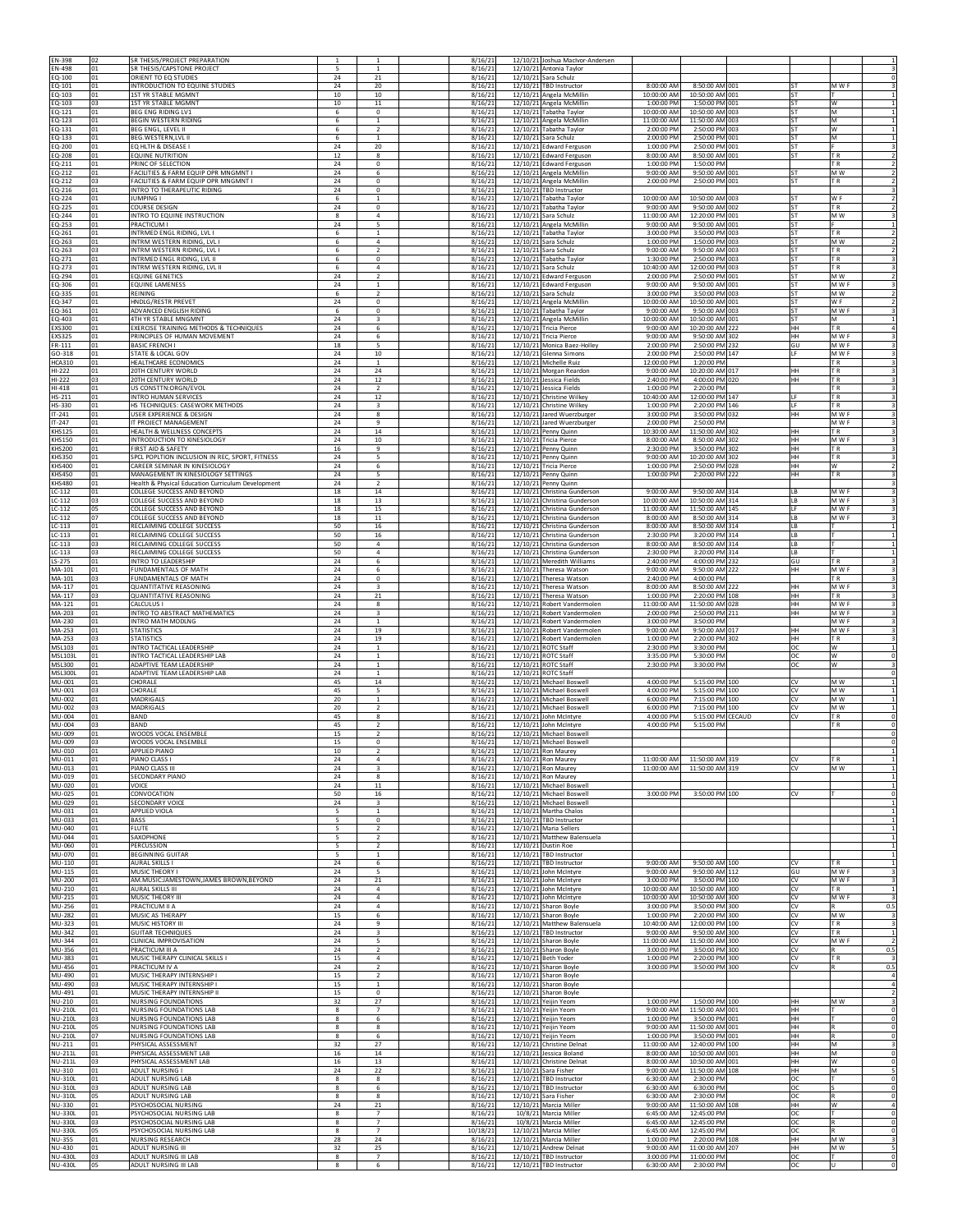|                                  | 02<br>01  | SR THESIS/PROJECT PREPARATION<br>SR THESIS/CAPSTONE PROJECT                              |                 |                                         | 8/16/21<br>8/16/21  |                      | 12/10/21 Joshua MacIvor-Andersen<br>12/10/21 Antonia Taylor |                            |                                     |                        |                                  |                                                                                                                                                                                                                                                                                          |
|----------------------------------|-----------|------------------------------------------------------------------------------------------|-----------------|-----------------------------------------|---------------------|----------------------|-------------------------------------------------------------|----------------------------|-------------------------------------|------------------------|----------------------------------|------------------------------------------------------------------------------------------------------------------------------------------------------------------------------------------------------------------------------------------------------------------------------------------|
| EN-498<br>EQ-100                 | 01        | ORIENT TO EQ STUDIES                                                                     | 24              | 21                                      | 8/16/21             | 12/10/21             | Sara Schulz                                                 |                            |                                     |                        |                                  |                                                                                                                                                                                                                                                                                          |
| EQ-101<br>EQ-103                 | 01<br>01  | INTRODUCTION TO EQUINE STUDIES<br>1ST YR STABLE MGMNT                                    | 24<br>10        | 20<br>10                                | 8/16/21<br>8/16/21  |                      | 12/10/21 TBD Instructor<br>12/10/21 Angela McMillin         | 8:00:00 AM<br>10:00:00 AM  | 8:50:00 AM 001<br>10:50:00 AM 001   | <b>ST</b><br><b>ST</b> | M W F                            |                                                                                                                                                                                                                                                                                          |
| EQ-103<br>EQ-121                 | 03<br>01  | 1ST YR STABLE MGMNT<br><b>BEG ENG RIDING LV1</b>                                         | $10\,$<br>6     | $11\,$<br>$\mathbf 0$                   | 8/16/21<br>8/16/21  |                      | 12/10/21 Angela McMillin<br>12/10/21 Tabatha Taylor         | 1:00:00 PM<br>10:00:00 AM  | 1:50:00 PM 001<br>10:50:00 AM 003   | ST<br><b>ST</b>        | W<br>M                           |                                                                                                                                                                                                                                                                                          |
| EQ-123                           | 01        | <b>BEGIN WESTERN RIDING</b>                                                              | 6               | $\mathbf{1}$                            | 8/16/21             |                      | 12/10/21 Angela McMillin                                    | 11:00:00 AM                | 11:50:00 AM 003                     | ST                     | M                                |                                                                                                                                                                                                                                                                                          |
| EQ-131<br>EQ-133                 | 01<br>01  | <b>BEG ENGL, LEVEL II</b><br><b>BEG.WESTERN,LVL II</b>                                   | 6<br>6          | $\overline{2}$<br>$\mathbf{1}$          | 8/16/21<br>8/16/21  | 12/10/21             | 12/10/21 Tabatha Taylor<br>Sara Schulz                      | 2:00:00 PM<br>2:00:00 PM   | 2:50:00 PM 003<br>2:50:00 PM 001    | ST<br>ST               | W<br>M                           |                                                                                                                                                                                                                                                                                          |
| EQ-200<br>EQ-208                 | 01<br>01  | EQ HLTH & DISEASE I<br><b>EQUINE NUTRITION</b>                                           | 24<br>12        | 20<br>8                                 | 8/16/21<br>8/16/21  |                      | 12/10/21 Edward Ferguson<br>12/10/21 Edward Ferguson        | 1:00:00 PM<br>8:00:00 AM   | 2:50:00 PM 001<br>8:50:00 AM 001    | <b>ST</b><br><b>ST</b> | TR.                              |                                                                                                                                                                                                                                                                                          |
| EQ-211                           | 01        | PRINC OF SELECTION                                                                       | 24              | $\circ$<br>6                            | 8/16/21             | 12/10/21             | <b>Edward Ferguson</b>                                      | 1:00:00 PM                 | 1:50:00 PM                          | <b>ST</b>              | T <sub>R</sub>                   |                                                                                                                                                                                                                                                                                          |
| EQ-212<br>EQ-212                 | 01<br>lоз | FACILITIES & FARM EQUIP OPR MNGMNT<br>FACILITIES & FARM EQUIP OPR MNGMNT I               | 24<br>24        | $^{\circ}$                              | 8/16/21<br>8/16/21  | 12/10/21<br>12/10/21 | Angela McMillin<br>Angela McMillin                          | 9:00:00 AM<br>2:00:00 PM   | 9:50:00 AM 001<br>2:50:00 PM 001    | ST                     | M W<br>T <sub>R</sub>            |                                                                                                                                                                                                                                                                                          |
| EQ-216<br>EQ-224                 | 01<br>01  | INTRO TO THERAPEUTIC RIDING<br>JUMPING I                                                 | 24<br>6         | $^{\circ}$<br>1                         | 8/16/21<br>8/16/21  | 12/10/21             | <b>TBD Instructor</b><br>12/10/21 Tabatha Taylor            | 10:00:00 AM                | 10:50:00 AM 003                     | ST                     | W <sub>F</sub>                   |                                                                                                                                                                                                                                                                                          |
| EQ-225<br>EQ-244                 | 01<br>01  | COURSE DESIGN<br>INTRO TO EQUINE INSTRUCTION                                             | $\bf{24}$<br>8  | $^{\circ}$<br>$\overline{4}$            | 8/16/21<br>8/16/21  |                      | 12/10/21 Tabatha Taylor<br>12/10/21 Sara Schulz             | 9:00:00 AM<br>11:00:00 AM  | 9:50:00 AM 002<br>12:20:00 PM 001   | <b>ST</b><br><b>ST</b> | TR.<br>M W                       |                                                                                                                                                                                                                                                                                          |
| EQ-253                           | 01        | PRACTICUM I                                                                              | 24              | 5                                       | 8/16/21             |                      | 12/10/21 Angela McMillin                                    | $9:00:00$ AM               | 9:50:00 AM 001                      | S <sub>1</sub>         |                                  |                                                                                                                                                                                                                                                                                          |
| EQ-261<br>EQ-263                 | 01<br>01  | INTRMED ENGL RIDING, LVL I<br>INTRM WESTERN RIDING, LVL I                                | 6<br>6          | 1<br>$\Delta$                           | 8/16/21<br>8/16/21  | 12/10/21             | 12/10/21 Tabatha Taylor<br>Sara Schulz                      | 3:00:00 PM<br>1:00:00 PM   | 3:50:00 PM 003<br>1:50:00 PM 003    | ST<br><b>ST</b>        | T <sub>R</sub><br>M W            |                                                                                                                                                                                                                                                                                          |
| EQ-263<br>EQ-271                 | 03<br>01  | INTRM WESTERN RIDING, LVL I<br>INTRMED ENGL RIDING, LVL II                               | 6<br>6          | $\overline{2}$<br>$\mathbf 0$           | 8/16/21<br>8/16/21  | 12/10/21             | Sara Schulz<br>12/10/21 Tabatha Taylor                      | 9:00:00 AM<br>1:30:00 PM   | 9:50:00 AM 003<br>2:50:00 PM 003    | <b>ST</b><br>ST        | T <sub>R</sub><br>TR.            |                                                                                                                                                                                                                                                                                          |
| EQ-273<br>EQ-294                 | 01<br>01  | INTRM WESTERN RIDING, LVL II<br>EQUINE GENETICS                                          | 6<br>24         | $\overline{4}$<br>$\mathcal{P}$         | 8/16/21<br>8/16/21  | 12/10/21<br>12/10/21 | Sara Schulz                                                 | 10:40:00 AM<br>2:00:00 PM  | 12:00:00 PM 003<br>2:50:00 PM 001   | <b>ST</b>              | TR.<br>MW                        |                                                                                                                                                                                                                                                                                          |
| EQ-306                           | 01        | <b>EQUINE LAMENESS</b>                                                                   | 24              | 1                                       | 8/16/21             |                      | <b>Edward Ferguson</b><br>12/10/21 Edward Ferguson          | 9:00:00 AM                 | 9:50:00 AM 001                      | <b>ST</b>              | M W F                            |                                                                                                                                                                                                                                                                                          |
| EQ-335<br>EQ-347                 | 01<br>01  | <b>REINING</b><br>HNDLG/RESTR PREVET                                                     | 6<br>24         | $\overline{\phantom{a}}$<br>$\mathbf 0$ | 8/16/21<br>8/16/21  | 12/10/21<br>12/10/21 | Sara Schulz<br>Angela McMillin                              | 3:00:00 PM<br>10:00:00 AM  | 3:50:00 PM 003<br>10:50:00 AM 001   | ST<br>ST               | M <sub>W</sub><br>W F            | $\mathcal{P}$                                                                                                                                                                                                                                                                            |
| EQ-361<br>EQ-403                 | 01<br>01  | ADVANCED ENGLISH RIDING<br>4TH YR STABLE MNGMNT                                          | 6<br>24         | $\mathbf 0$<br>3                        | 8/16/21<br>8/16/21  |                      | 12/10/21 Tabatha Taylor<br>12/10/21 Angela McMillin         | 9:00:00 AM<br>10:00:00 AM  | 9:50:00 AM 003<br>10:50:00 AM 001   | ST<br>ST               | M W F<br>M                       |                                                                                                                                                                                                                                                                                          |
| EXS300                           | 01        | EXERCISE TRAINING METHODS & TECHNIQUES                                                   | 24              | 6                                       | 8/16/21             |                      | 12/10/21 Tricia Pierce                                      | 9:00:00 AM                 | 10:20:00 AM 222                     | HH                     | TR.                              |                                                                                                                                                                                                                                                                                          |
| EXS325<br>FR-111                 | 01<br>01  | PRINCIPLES OF HUMAN MOVEMENT<br><b>BASIC FRENCH I</b>                                    | 24<br>18        | 6<br>5                                  | 8/16/21<br>8/16/21  |                      | 12/10/21 Tricia Pierce<br>12/10/21 Monica Baez-Holley       | 9:00:00 AM<br>2:00:00 PM   | 9:50:00 AM 302<br>2:50:00 PM 232    | HH<br>GU               | M W F<br>M W F                   |                                                                                                                                                                                                                                                                                          |
| GO-318<br><b>HCA310</b>          | 01<br>01  | STATE & LOCAL GOV<br><b>HEALTHCARE ECONOMICS</b>                                         | 24<br>24        | $10\,$<br>$\mathbf{1}$                  | 8/16/21<br>8/16/21  | 12/10/21             | 12/10/21 Glenna Simons<br>Michelle Ruiz                     | 2:00:00 PM<br>12:00:00 PM  | 2:50:00 PM 147<br>1:20:00 PM        | 1F                     | M W F<br>TR.                     |                                                                                                                                                                                                                                                                                          |
| HI-222<br>HI-222                 | 01<br>03  | 20TH CENTURY WORLD<br><b>20TH CENTURY WORLD</b>                                          | 24<br>24        | 24<br>$12\,$                            | 8/16/21             |                      | 12/10/21 Morgan Reardon<br>12/10/21 Jessica Fields          | 9:00:00 AM<br>2:40:00 PM   | 10:20:00 AM 017<br>4:00:00 PM 020   | HH<br>HH               | TR.<br>TR.                       |                                                                                                                                                                                                                                                                                          |
| HI-418                           | 01        | US CONSTTN:ORGN/EVOL                                                                     | 24              | $\overline{2}$                          | 8/16/21<br>8/16/21  | 12/10/21             | Jessica Fields                                              | 1:00:00 PM                 | 2:20:00 PM                          |                        | TR.                              |                                                                                                                                                                                                                                                                                          |
| HS-211<br>HS-330                 | 01<br>01  | INTRO HUMAN SERVICES<br>HS TECHNIQUES: CASEWORK METHODS                                  | 24<br>24        | $12\,$<br>$\overline{\mathbf{3}}$       | 8/16/21<br>8/16/21  | 12/10/21<br>12/10/21 | Christine Wilkey<br>Christine Wilkey                        | 10:40:00 AM<br>1:00:00 PM  | 12:00:00 PM 147<br>2:20:00 PM 146   | 1F                     | TR.<br>T <sub>R</sub>            |                                                                                                                                                                                                                                                                                          |
| $IT-241$<br>$IT-247$             | 01<br>01  | <b>USER EXPERIENCE &amp; DESIGN</b><br>IT PROJECT MANAGEMENT                             | 24<br>24        | 8<br>9                                  | 8/16/21<br>8/16/21  | 12/10/21<br>12/10/21 | Jared Wuerzburger<br>Jared Wuerzburger                      | 3:00:00 PM<br>$2:00:00$ PM | 3:50:00 PM 032<br>2:50:00 PM        | HH                     | M W F<br>M W F                   |                                                                                                                                                                                                                                                                                          |
| KHS125                           | 01        | HEALTH & WELLNESS CONCEPTS                                                               | 24              | 14                                      | 8/16/21             |                      | 12/10/21 Penny Quinn                                        | 10:30:00 AM                | 11:50:00 AM 302                     | HH                     | TR.                              |                                                                                                                                                                                                                                                                                          |
| KHS150<br>KHS200                 | 01<br>01  | INTRODUCTION TO KINESIOLOGY<br>FIRST AID & SAFETY                                        | $\bf{24}$<br>16 | $10\,$<br>9                             | 8/16/21<br>8/16/21  |                      | 12/10/21 Tricia Pierce<br>12/10/21 Penny Quinn              | 8:00:00 AM<br>2:30:00 PM   | 8:50:00 AM 302<br>3:50:00 PM 302    | HH<br>HH               | M W F<br>TR.                     |                                                                                                                                                                                                                                                                                          |
| <b>KHS350</b><br><b>KHS400</b>   | 01<br>01  | SPCL POPLTION INCLUSION IN REC, SPORT, FITNESS<br>CAREER SEMINAR IN KINESIOLOGY          | 24<br>24        | 5<br>6                                  | 8/16/21<br>8/16/21  |                      | 12/10/21 Penny Quinn<br>12/10/21 Tricia Pierce              | 9:00:00 AM<br>1:00:00 PM   | 10:20:00 AM 302<br>2:50:00 PM 028   | HH<br>HH               | TR.<br>w                         |                                                                                                                                                                                                                                                                                          |
| KHS450<br>KHS480                 | 01<br>01  | MANAGEMENT IN KINESIOLOGY SETTINGS<br>Health & Physical Education Curriculum Development | 24<br>24        | 5<br>$\overline{2}$                     | 8/16/21<br>8/16/21  | 12/10/21<br>12/10/21 | Penny Quinn<br>Penny Quinn                                  | 1:00:00 PM                 | 2:20:00 PM 222                      | HH                     | TR.                              |                                                                                                                                                                                                                                                                                          |
| LC-112                           | 01        | COLLEGE SUCCESS AND BEYOND                                                               | 18              | 14                                      | 8/16/21             |                      | 12/10/21 Christina Gunderson                                | 9:00:00 AM                 | 9:50:00 AM 314                      | LB                     | M W F                            |                                                                                                                                                                                                                                                                                          |
| LC-112<br>LC-112                 | 03<br>05  | COLLEGE SUCCESS AND BEYOND<br>COLLEGE SUCCESS AND BEYOND                                 | 18<br>18        | 13<br>15                                | 8/16/21<br>8/16/21  | 12/10/21<br>12/10/21 | Christina Gunderson<br>Christina Gunderson                  | 10:00:00 AM<br>11:00:00 AM | 10:50:00 AM 314<br>11:50:00 AM 145  | LB<br>LF               | M W F<br>M W F                   |                                                                                                                                                                                                                                                                                          |
| LC-112<br>LC-113                 | 07<br>01  | COLLEGE SUCCESS AND BEYOND<br>RECLAIMING COLLEGE SUCCESS                                 | 18<br>50        | $11\,$<br>16                            | 8/16/21<br>8/16/21  | 12/10/21<br>12/10/21 | Christina Gunderson<br>Christina Gunderson                  | 8:00:00 AM<br>8:00:00 AM   | 8:50:00 AM 314<br>8:50:00 AM 314    | LB<br>LB               | M W F                            |                                                                                                                                                                                                                                                                                          |
| LC-113                           | 01        | RECLAIMING COLLEGE SUCCESS                                                               | 50              | 16                                      | 8/16/21             | 12/10/21             | Christina Gunderson                                         | 2:30:00 PM                 | 3:20:00 PM 314                      | LB                     |                                  |                                                                                                                                                                                                                                                                                          |
| LC-113<br>LC-113                 | 03<br>03  | RECLAIMING COLLEGE SUCCESS<br>RECLAIMING COLLEGE SUCCESS                                 | 50<br>50        | $\overline{4}$<br>$\overline{4}$        | 8/16/21<br>8/16/21  | 12/10/21             | 12/10/21 Christina Gunderson<br>Christina Gunderson         | 8:00:00 AM<br>2:30:00 PM   | 8:50:00 AM 314<br>3:20:00 PM 314    | LB<br>LB               |                                  |                                                                                                                                                                                                                                                                                          |
| LS-275<br>MA-101                 | 01<br>01  | INTRO TO LEADERSHIP<br>FUNDAMENTALS OF MATH                                              | 24<br>24        | 6<br>6                                  | 8/16/21<br>8/16/21  |                      | 12/10/21 Meredith Williams<br>12/10/21 Theresa Watson       | 2:40:00 PM<br>9:00:00 AM   | 4:00:00 PM 232<br>9:50:00 AM 222    | GU<br>HH               | TR.<br>M W F                     |                                                                                                                                                                                                                                                                                          |
| MA-101                           | 03        | FUNDAMENTALS OF MATH                                                                     | 24              | $\mathbf 0$                             | 8/16/21             |                      | 12/10/21 Theresa Watson                                     | 2:40:00 PM                 | 4:00:00 PM                          |                        | TR.                              |                                                                                                                                                                                                                                                                                          |
| MA-117<br>MA-117                 | 01<br>03  | <b>QUANTITATIVE REASONING</b><br>QUANTITATIVE REASONING                                  | 24<br>24        | 3<br>21                                 | 8/16/21<br>8/16/21  | 12/10/21             | 12/10/21 Theresa Watson<br>Theresa Watson                   | 8:00:00 AM<br>1:00:00 PM   | 8:50:00 AM 222<br>2:20:00 PM 108    | HH<br>HH               | M W F<br>T <sub>R</sub>          |                                                                                                                                                                                                                                                                                          |
| MA-121<br>MA-203                 | 01<br>01  | CALCULUS I<br>INTRO TO ABSTRACT MATHEMATICS                                              | 24<br>24        | 8<br>3                                  | 8/16/21<br>8/16/21  | 12/10/21             | 12/10/21 Robert Vandermolen<br>Robert Vandermolen           | 11:00:00 AM<br>2:00:00 PM  | 11:50:00 AM 028<br>2:50:00 PM 211   | HH<br><b>HH</b>        | M W F<br>M W F                   |                                                                                                                                                                                                                                                                                          |
| MA-230<br>MA-253                 | 01<br>01  | INTRO MATH MODLNG<br><b>STATISTICS</b>                                                   | 24<br>24        | 1<br>19                                 | 8/16/21<br>8/16/21  | 12/10/21<br>12/10/21 | Robert Vandermolen<br>Robert Vandermolen                    | 3:00:00 PM<br>9:00:00 AM   | 3:50:00 PM<br>9:50:00 AM 017        | HH                     | M W F<br>M W F                   |                                                                                                                                                                                                                                                                                          |
| MA-253                           | lоз       | <b>STATISTICS</b>                                                                        | 24              | 19                                      | 8/16/21             | 12/10/21             | Robert Vandermolen                                          | 1:00:00 PM                 | 2:20:00 PM 302                      | HH                     | TR.                              |                                                                                                                                                                                                                                                                                          |
| MSL103<br><b>MSL103L</b>         | 01<br>01  | INTRO TACTICAL LEADERSHIP<br>INTRO TACTICAL LEADERSHIP LAB                               | 24<br>24        | 1<br>$\mathbf{1}$                       | 8/16/21<br>8/16/21  | 12/10/21<br>12/10/21 | <b>ROTC Staff</b><br><b>ROTC Staff</b>                      | 2:30:00 PM<br>3:35:00 PM   | 3:30:00 PM<br>5:30:00 PM            | <b>OC</b><br>ОC        | W<br>W                           | $\mathbf{1}$                                                                                                                                                                                                                                                                             |
| MSL300<br><b>MSL300L</b>         | 01<br>01  | ADAPTIVE TEAM LEADERSHIP<br>ADAPTIVE TEAM LEADERSHIP LAB                                 | 24<br>24        | 1<br><sup>1</sup>                       | 8/16/21<br>8/16/21  |                      | 12/10/21 ROTC Staff<br>12/10/21 ROTC Staff                  | 2:30:00 PM                 | 3:30:00 PM                          | ОC                     | w                                | $\Omega$                                                                                                                                                                                                                                                                                 |
| MU-001                           | 01        | CHORALE                                                                                  | 45              | 14                                      | 8/16/21             |                      | 12/10/21 Michael Boswell                                    | 4:00:00 PM                 | 5:15:00 PM 100                      | CV                     | M <sub>W</sub>                   |                                                                                                                                                                                                                                                                                          |
| MU-001<br>MU-002                 | 03<br>01  | CHORALE<br>MADRIGALS                                                                     | 45              | 5<br>$\overline{1}$                     | 8/16/21<br>8/16/21  |                      | 12/10/21 Michael Boswell                                    | 4:00:00 PM<br>6:00:00 PM   | 5:15:00 PM 100                      |                        | M W<br>M <sub>W</sub>            |                                                                                                                                                                                                                                                                                          |
| MU-002<br>MU-004                 | 03        |                                                                                          | 20              |                                         |                     |                      | 12/10/21 Michael Boswell                                    |                            | 7:15:00 PM 100                      | CV<br>CV               |                                  |                                                                                                                                                                                                                                                                                          |
| MU-004<br>MU-009                 | 01        | MADRIGALS<br>BAND                                                                        | 20<br>45        | $\mathfrak{p}$<br>8                     | 8/16/21<br>8/16/21  | 12/10/21             | Michael Boswel<br>12/10/21 John McIntyre                    | 6:00:00 PM<br>4:00:00 PM   | 7:15:00 PM 100<br>5:15:00 PM CECAUD | CV<br>CV               | M W<br>TR.                       | $^{\circ}$                                                                                                                                                                                                                                                                               |
|                                  | 03        | <b>BAND</b>                                                                              | 45              | $\overline{2}$                          | 8/16/21             |                      | 12/10/21 John McIntyre                                      | 4:00:00 PM                 | 5:15:00 PM                          |                        | TR.                              |                                                                                                                                                                                                                                                                                          |
| MU-009                           | 01<br>03  | WOODS VOCAL ENSEMBLE<br>WOODS VOCAL ENSEMBLE                                             | 15<br>15        | $\overline{2}$<br>$\circ$               | 8/16/21<br>8/16/21  | 12/10/21             | Michael Boswel<br>12/10/21 Michael Boswell                  |                            |                                     |                        |                                  |                                                                                                                                                                                                                                                                                          |
| MU-01<br>MU-011                  | 01        | PIANO CLASS I                                                                            | 24              | $\overline{4}$                          | 8/16/21             | 211012               | 12/10/21 Ron Maurey                                         | 11:00:00 AM                | 11:50:00 AM 319                     | CV                     | TR.                              |                                                                                                                                                                                                                                                                                          |
| MU-013                           | 01        | PIANO CLASS III                                                                          | 24              | $\overline{\mathbf{3}}$                 | 8/16/21             |                      | 12/10/21 Ron Maurey                                         | 11:00:00 AM                | 11:50:00 AM 319                     | CV                     | M W                              |                                                                                                                                                                                                                                                                                          |
| MU-019<br>MU-020                 | 01<br>01  | SECONDARY PIANO<br>VOICE                                                                 | 24<br>$\bf{24}$ | 8<br>$11\,$                             | 8/16/21<br>8/16/21  |                      | 12/10/21 Ron Maurey<br>12/10/21 Michael Boswell             |                            |                                     |                        |                                  |                                                                                                                                                                                                                                                                                          |
| MU-025<br>MU-029                 | 01<br>01  | CONVOCATION<br><b>SECONDARY VOICE</b>                                                    | 50<br>24        | 16<br>3                                 | 8/16/21<br>8/16/21  |                      | 12/10/21 Michael Boswell<br>12/10/21 Michael Boswell        | 3:00:00 PM                 | 3:50:00 PM 100                      | $\sim$                 |                                  |                                                                                                                                                                                                                                                                                          |
| MU-031<br>MU-033                 | 01<br>01  | <b>APPLIED VIOLA</b><br><b>BASS</b>                                                      | 5<br>5          | $\mathbf{1}$<br>$\mathbf 0$             | 8/16/21<br>8/16/21  |                      | 12/10/21 Martha Chalos<br>12/10/21 TBD Instructor           |                            |                                     |                        |                                  |                                                                                                                                                                                                                                                                                          |
| MU-040<br>MU-044                 | 01<br>01  | <b>FLUTE</b><br>SAXOPHONE                                                                | 5<br>5          | $\overline{2}$<br>$\overline{2}$        | 8/16/21             |                      | 12/10/21 Maria Sellers<br>12/10/21 Matthew Balensuela       |                            |                                     |                        |                                  |                                                                                                                                                                                                                                                                                          |
| MU-060                           | 01        | PERCUSSION                                                                               | 5               | $\overline{2}$                          | 8/16/21<br>8/16/21  |                      | 12/10/21 Dustin Roe                                         |                            |                                     |                        |                                  |                                                                                                                                                                                                                                                                                          |
| MU-070<br>MU-110                 | 01<br>01  | <b>BEGINNING GUITAR</b><br>AURAL SKILLS I                                                | 5<br>24         | 1<br>6                                  | 8/16/21<br>8/16/21  |                      | 12/10/21 TBD Instructor<br>12/10/21 TBD Instructor          | 9:00:00 AM                 | 9:50:00 AM 100                      | CV                     | T <sub>R</sub>                   |                                                                                                                                                                                                                                                                                          |
| MU-115<br>MU-200                 | 01<br>01  | MUSIC THEORY I<br>AM.MUSIC:JAMESTOWN,JAMES BROWN,BEYOND                                  | 24<br>24        | 5<br>21                                 | 8/16/21<br>8/16/21  | 12/10/21             | John McIntyre<br>12/10/21 John McIntyre                     | 9:00:00 AM<br>3:00:00 PM   | 9:50:00 AM 112<br>3:50:00 PM 100    | GU<br>CV               | M W F<br>M W F                   |                                                                                                                                                                                                                                                                                          |
| MU-210                           | 01        | AURAL SKILLS III<br>MUSIC THEORY III                                                     | 24              | $\overline{a}$<br>$\overline{4}$        | 8/16/21             |                      | 12/10/21 John McIntyre                                      | 10:00:00 AM                | 10:50:00 AM 300                     | CV                     | TR.<br>M W F                     |                                                                                                                                                                                                                                                                                          |
| MU-215<br>MU-256                 | 01<br>01  | PRACTICUM II A                                                                           | 24<br>24        | $\overline{4}$                          | 8/16/21<br>8/16/21  |                      | 12/10/21 John McIntyre<br>12/10/21 Sharon Boyle             | 10:00:00 AM<br>3:00:00 PM  | 10:50:00 AM 300<br>3:50:00 PM 300   | CV<br>CV               | IR.                              |                                                                                                                                                                                                                                                                                          |
| MU-282<br>MU-323                 | 01<br>01  | MUSIC AS THERAPY<br>MUSIC HISTORY III                                                    | 15<br>24        | 6<br>9                                  | 8/16/21<br>8/16/21  |                      | 12/10/21 Sharon Boyle<br>12/10/21 Matthew Balensuela        | 1:00:00 PM<br>10:40:00 AM  | 2:20:00 PM 300<br>12:00:00 PM 100   | CV<br>CV               | M <sub>W</sub><br>T <sub>R</sub> |                                                                                                                                                                                                                                                                                          |
| MU-342<br>MU-344                 | 01<br>01  | <b>GUITAR TECHNIQUES</b><br>CLINICAL IMPROVISATION                                       | 24<br>24        | $\overline{\mathbf{3}}$<br>5            | 8/16/21<br>8/16/21  |                      | 12/10/21 TBD Instructor<br>12/10/21 Sharon Boyle            | 9:00:00 AM<br>11:00:00 AM  | 9:50:00 AM 300<br>11:50:00 AM 300   | CV<br>CV               | T <sub>R</sub><br>M W F          |                                                                                                                                                                                                                                                                                          |
| MU-356                           | 01        | PRACTICUM III A                                                                          | 24              | $\overline{2}$                          | 8/16/21             |                      | 12/10/21 Sharon Boyle                                       | 3:00:00 PM                 | 3:50:00 PM 300                      | CV                     | $\mathbb R$                      |                                                                                                                                                                                                                                                                                          |
| MU-383<br>MU-456                 | 01<br>01  | MUSIC THERAPY CLINICAL SKILLS I<br>PRACTICUM IV A                                        | 15<br>24        | $\overline{4}$<br>$\mathcal{P}$         | 8/16/21<br>8/16/21  | 12/10/21             | 12/10/21 Beth Yoder<br>Sharon Boyle                         | 1:00:00 PM<br>3:00:00 PM   | 2:20:00 PM 300<br>3:50:00 PM 300    | CV<br>CV               | <b>TR</b>                        | $\mathbf 0$<br>$^{\circ}$<br>$\mathbf{1}$<br>$\mathbf{1}$<br>$\circ$<br>$\mathbf{1}$<br>1<br>$\mathbf{1}$<br>$\overline{3}$<br>3<br>1<br>$\mathbf{a}$<br>0.5<br>$\overline{\mathbf{3}}$<br>$\overline{3}1$<br>$1\overline{ }$<br>$\overline{2}$<br>0.5<br>$\overline{\mathbf{3}}$<br>0.5 |
| MU-490<br>MU-490                 | 01<br>03  | MUSIC THERAPY INTERNSHIP I<br>MUSIC THERAPY INTERNSHIP I                                 | 15<br>15        | $\overline{2}$<br>$\mathbf{1}$          | 8/16/21<br>8/16/21  | 12/10/21<br>12/10/21 | Sharon Boyle<br>Sharon Boyle                                |                            |                                     |                        |                                  |                                                                                                                                                                                                                                                                                          |
| MU-491                           | 01        | MUSIC THERAPY INTERNSHIP II                                                              | 15              | $\mathbf 0$                             | 8/16/21             | 12/10/21             | Sharon Boyle                                                |                            |                                     |                        |                                  | $\overline{4}$<br>$\overline{a}$<br>$\overline{2}$                                                                                                                                                                                                                                       |
| NU-210<br>NU-210L                | 01<br>01  | <b>NURSING FOUNDATIONS</b><br><b>NURSING FOUNDATIONS LAB</b>                             | 32<br>8         | 27<br>$\overline{7}$                    | 8/16/21<br>8/16/21  |                      | 12/10/21 Yeijin Yeom<br>12/10/21 Yeijin Yeom                | 1:00:00 PM<br>9:00:00 AM   | 1:50:00 PM 100<br>11:50:00 AM 001   | HH<br>HH               | M W                              | $\overline{\mathbf{3}}$<br>$\circ$                                                                                                                                                                                                                                                       |
| <b>NU-210L</b><br><b>NU-210L</b> | 03<br>05  | NURSING FOUNDATIONS LAB<br>NURSING FOUNDATIONS LAB                                       | 8<br>8          | 6<br>8                                  | 8/16/21<br>8/16/21  |                      | 12/10/21 Yeijin Yeom<br>12/10/21 Yeijin Yeom                | 1:00:00 PM<br>9:00:00 AM   | 3:50:00 PM 001<br>11:50:00 AM 001   | HH<br>HH               |                                  |                                                                                                                                                                                                                                                                                          |
| <b>NU-210L</b>                   | 07<br>01  | <b>NURSING FOUNDATIONS LAB</b>                                                           | 8               | 6                                       | 8/16/21             |                      | 12/10/21 Yeijin Yeom                                        | 1:00:00 PM                 | 3:50:00 PM 001                      | HH<br>HH               | R<br>M                           |                                                                                                                                                                                                                                                                                          |
| NU-211<br>NU-211L                | 01        | PHYSICAL ASSESSMENT<br>PHYSICAL ASSESSMENT LAB                                           | 32<br>16        | 27<br>$14\,$                            | 8/16/21<br>8/16/21  |                      | 12/10/21 Christine Delnat<br>12/10/21 Jessica Boland        | 11:00:00 AM<br>8:00:00 AM  | 12:40:00 PM 100<br>10:50:00 AM 001  | HH                     | M                                |                                                                                                                                                                                                                                                                                          |
| NU-211L<br>NU-310                | 03<br>01  | PHYSICAL ASSESSMENT LAB<br><b>ADULT NURSING I</b>                                        | 16<br>24        | 13<br>22                                | 8/16/21<br>8/16/21  |                      | 12/10/21 Christine Delnat<br>12/10/21 Sara Fisher           | 8:00:00 AM<br>9:00:00 AM   | 10:50:00 AM 001<br>11:50:00 AM 108  | HH<br>HH               | W<br>M                           |                                                                                                                                                                                                                                                                                          |
| NU-310L<br><b>NU-310L</b>        | 01<br>03  | ADULT NURSING LAB<br>ADULT NURSING LAB                                                   | 8<br>8          | 8<br>6                                  | 8/16/21<br>8/16/21  |                      | 12/10/21 TBD Instructor<br>12/10/21 TBD Instructor          | 6:30:00 AM<br>6:30:00 AM   | 2:30:00 PM<br>6:30:00 PM            | OC<br>ОC               |                                  |                                                                                                                                                                                                                                                                                          |
| <b>NU-310L</b>                   | 05        | ADULT NURSING LAB                                                                        | 8               | 8                                       | 8/16/21             |                      | 12/10/21 Sara Fisher                                        | 6:30:00 AM                 | 2:30:00 PM                          | OC                     | <b>R</b>                         |                                                                                                                                                                                                                                                                                          |
| NU-330<br>NU-330L                | 01<br>01  | PSYCHOSOCIAL NURSING<br>PSYCHOSOCIAL NURSING LAB                                         | 24<br>8         | 21<br>$\overline{7}$                    | 8/16/21<br>8/16/21  |                      | 12/10/21 Marcia Miller<br>10/8/21 Marcia Miller             | 9:00:00 AM<br>6:45:00 AM   | 11:50:00 AM 108<br>12:45:00 PM      | HH<br>ОC               | W                                |                                                                                                                                                                                                                                                                                          |
| <b>NU-330L</b><br>NU-330L        | 03<br>05  | PSYCHOSOCIAL NURSING LAB<br>PSYCHOSOCIAL NURSING LAB                                     | 8<br>8          | $\overline{7}$<br>$\overline{7}$        | 8/16/21<br>10/18/21 |                      | 10/8/21 Marcia Miller<br>12/10/21 Marcia Miller             | 6:45:00 AM<br>6:45:00 AM   | 12:45:00 PM<br>12:45:00 PM          | OC<br>OС               | R<br>R                           | $^{\circ}$<br>$^{\circ}$                                                                                                                                                                                                                                                                 |
| NU-355<br>NU-430                 | 01<br>01  | NURSING RESEARCH<br>ADULT NURSING III                                                    | 28<br>32        | 24<br>25                                | 8/16/21<br>8/16/21  |                      | 12/10/21 Marcia Miller<br>12/10/21 Andrew Delnat            | 1:00:00 PM<br>9:00:00 AM   | 2:20:00 PM 108<br>11:00:00 AM 207   | HH<br>HH               | M <sub>W</sub><br>M W            | $\Omega$<br>$\mathbf{0}$<br>$\overline{\mathbf{3}}$<br>$\Omega$<br>$\circ$<br>5<br>$\circ$<br>$\mathbf 0$<br>4<br>$\mathbf 0$<br>$\circ$<br>$\circ$<br>5                                                                                                                                 |